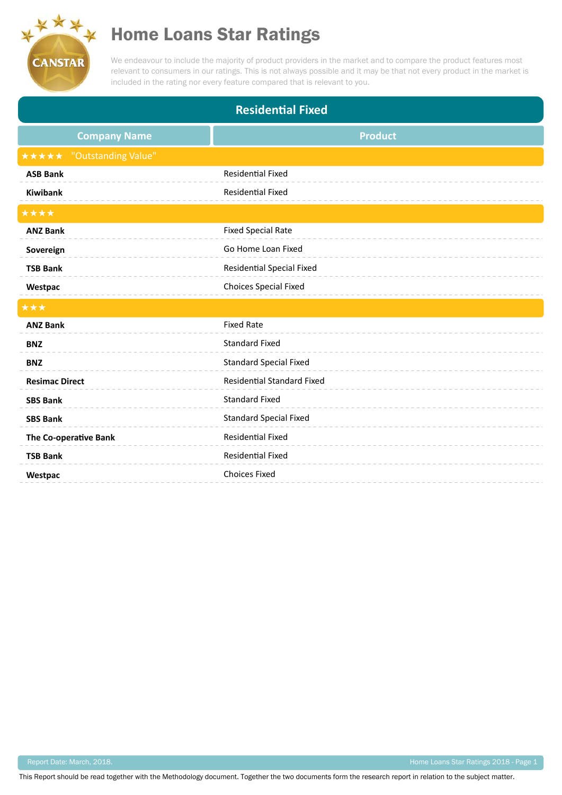

## Home Loans Star Ratings

We endeavour to include the majority of product providers in the market and to compare the product features most relevant to consumers in our ratings. This is not always possible and it may be that not every product in the market is included in the rating nor every feature compared that is relevant to you.

| <b>Residential Fixed</b>     |                                   |
|------------------------------|-----------------------------------|
| <b>Company Name</b>          | <b>Product</b>                    |
| *****<br>"Outstanding Value" |                                   |
| <b>ASB Bank</b>              | Residential Fixed                 |
| <b>Kiwibank</b>              | <b>Residential Fixed</b>          |
| ****                         |                                   |
| <b>ANZ Bank</b>              | <b>Fixed Special Rate</b>         |
| Sovereign                    | Go Home Loan Fixed                |
| <b>TSB Bank</b>              | <b>Residential Special Fixed</b>  |
| Westpac                      | <b>Choices Special Fixed</b>      |
| ***                          |                                   |
| <b>ANZ Bank</b>              | <b>Fixed Rate</b>                 |
| <b>BNZ</b>                   | <b>Standard Fixed</b>             |
| <b>BNZ</b>                   | <b>Standard Special Fixed</b>     |
| <b>Resimac Direct</b>        | <b>Residential Standard Fixed</b> |
| <b>SBS Bank</b>              | <b>Standard Fixed</b>             |
| <b>SBS Bank</b>              | <b>Standard Special Fixed</b>     |
| The Co-operative Bank        | <b>Residential Fixed</b>          |
| <b>TSB Bank</b>              | <b>Residential Fixed</b>          |
| Westpac                      | <b>Choices Fixed</b>              |